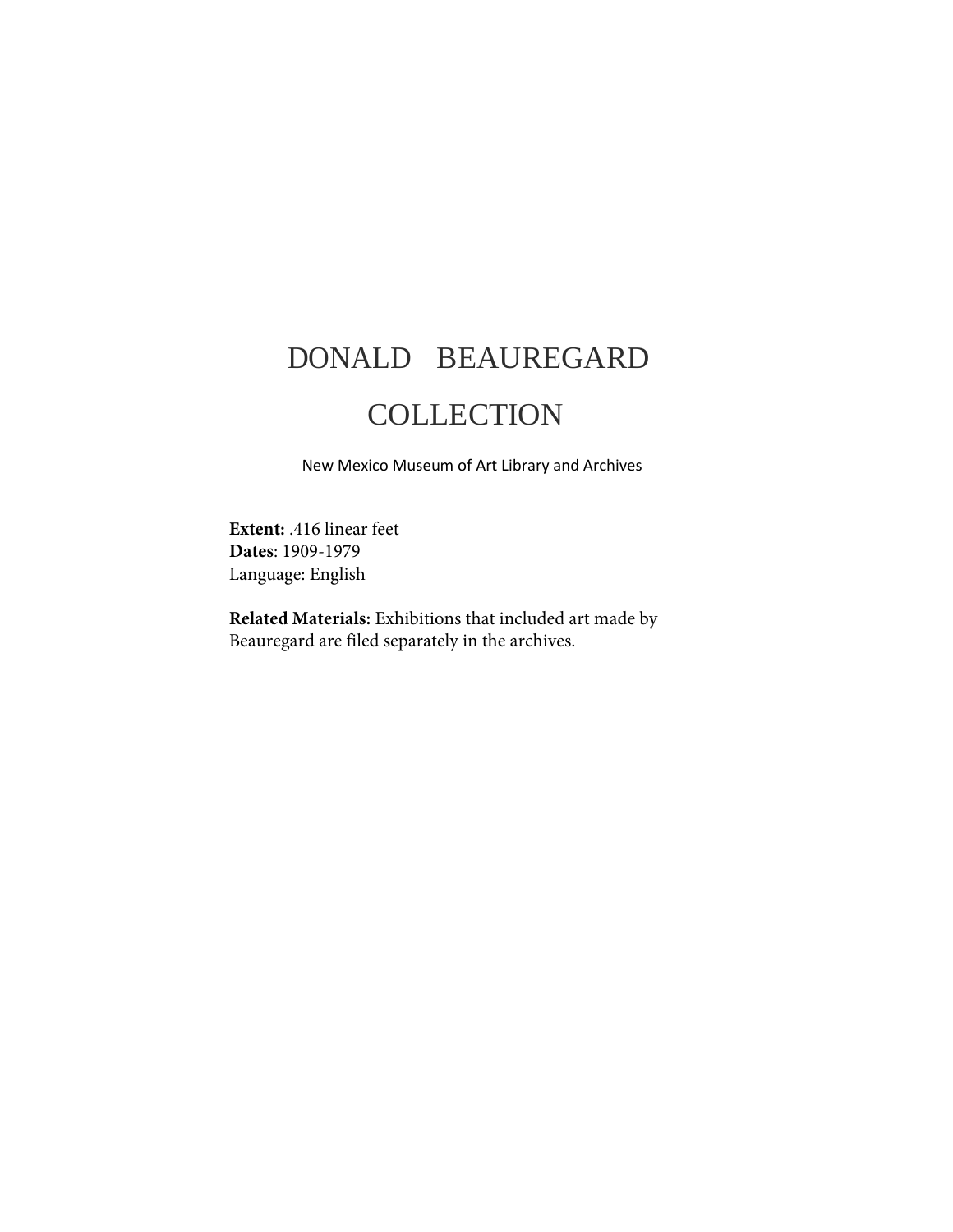# DONALD BEAUREGARD

## **COLLECTION**

New Mexico Museum of Art Library and Archives

**Extent:** .416 linear feet **Dates**: 1909-1979 Language: English

**Related Materials:** Exhibitions that included art made by Beauregard are filed separately in the archives.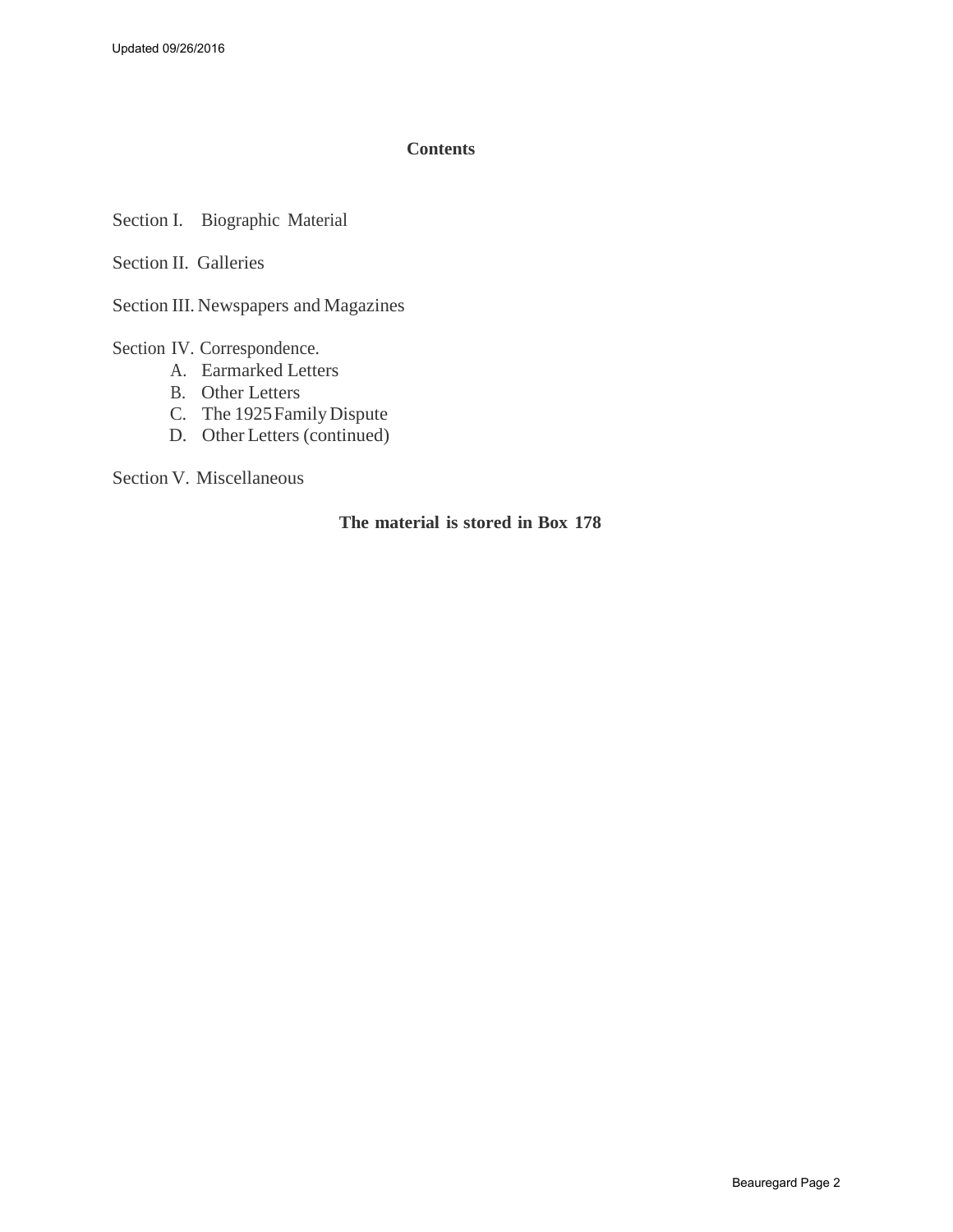#### **Contents**

Section I. Biographic Material

Section II. Galleries

Section III. Newspapers and Magazines

Section IV. Correspondence.

- A. [Earmarked](#page-7-0) Letters
- B. Other Letters
- C. [The 1925 Family Dispute](#page-14-0)
- D. Other [Letters \(continued\)](#page-16-0)

Section V. Miscellaneous

#### **The material is stored in Box 178**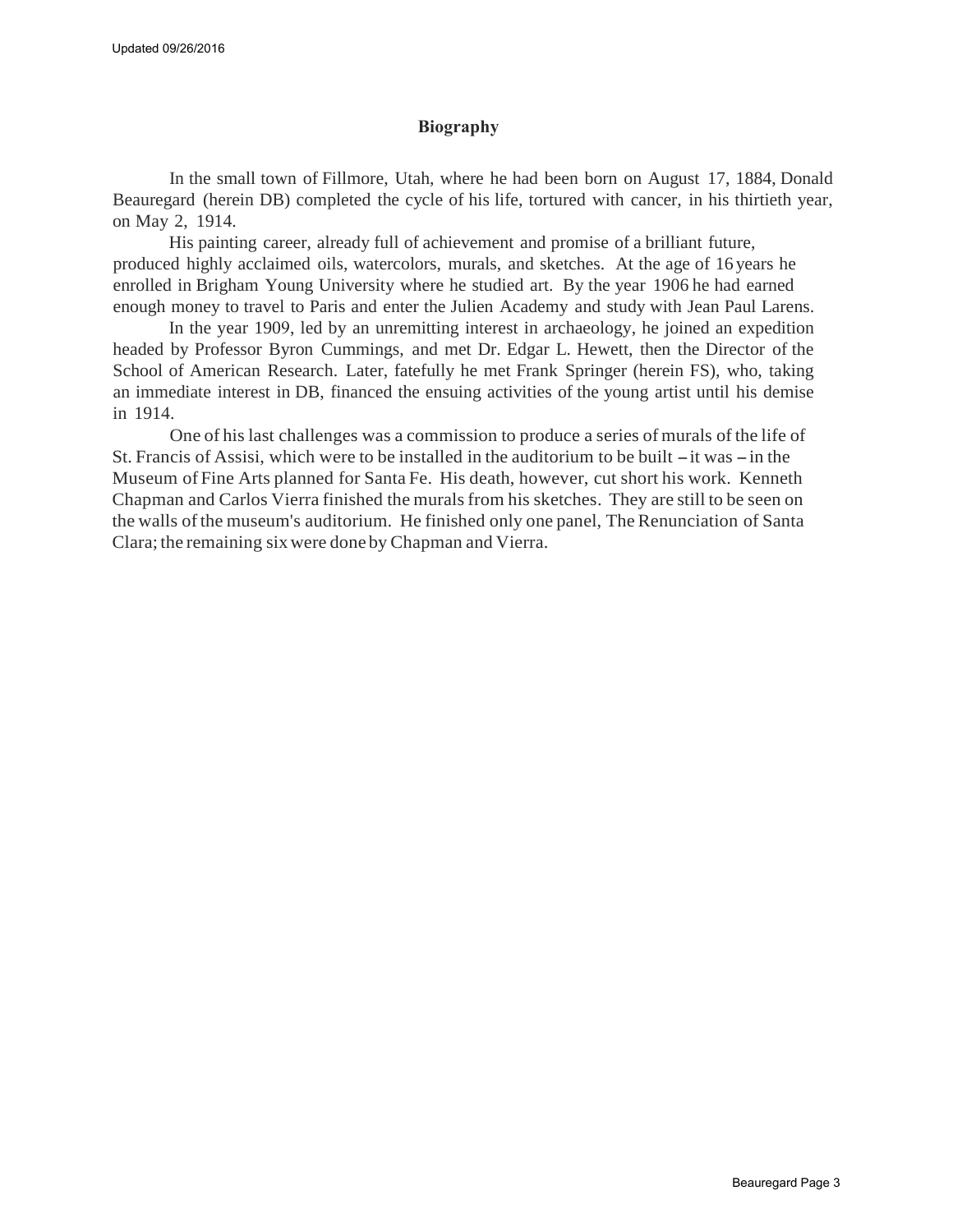#### **Biography**

In the small town of Fillmore, Utah, where he had been born on August 17, 1884, Donald Beauregard (herein DB) completed the cycle of his life, tortured with cancer, in his thirtieth year, on May 2, 1914.

His painting career, already full of achievement and promise of a brilliant future, produced highly acclaimed oils, watercolors, murals, and sketches. At the age of 16 years he enrolled in Brigham Young University where he studied art. By the year 1906 he had earned enough money to travel to Paris and enter the Julien Academy and study with Jean Paul Larens.

In the year 1909, led by an unremitting interest in archaeology, he joined an expedition headed by Professor Byron Cummings, and met Dr. Edgar L. Hewett, then the Director of the School of American Research. Later, fatefully he met Frank Springer (herein FS), who, taking an immediate interest in DB, financed the ensuing activities of the young artist until his demise in 1914.

One of his last challenges was a commission to produce a series of murals of the life of St. Francis of Assisi, which were to be installed in the auditorium to be built  $-$  it was  $-$  in the Museum of Fine Arts planned for Santa Fe. His death, however, cut short his work. Kenneth Chapman and Carlos Vierra finished the murals from his sketches. They are still to be seen on the walls of the museum's auditorium. He finished only one panel, The Renunciation of Santa Clara; the remaining sixwere done by Chapman and Vierra.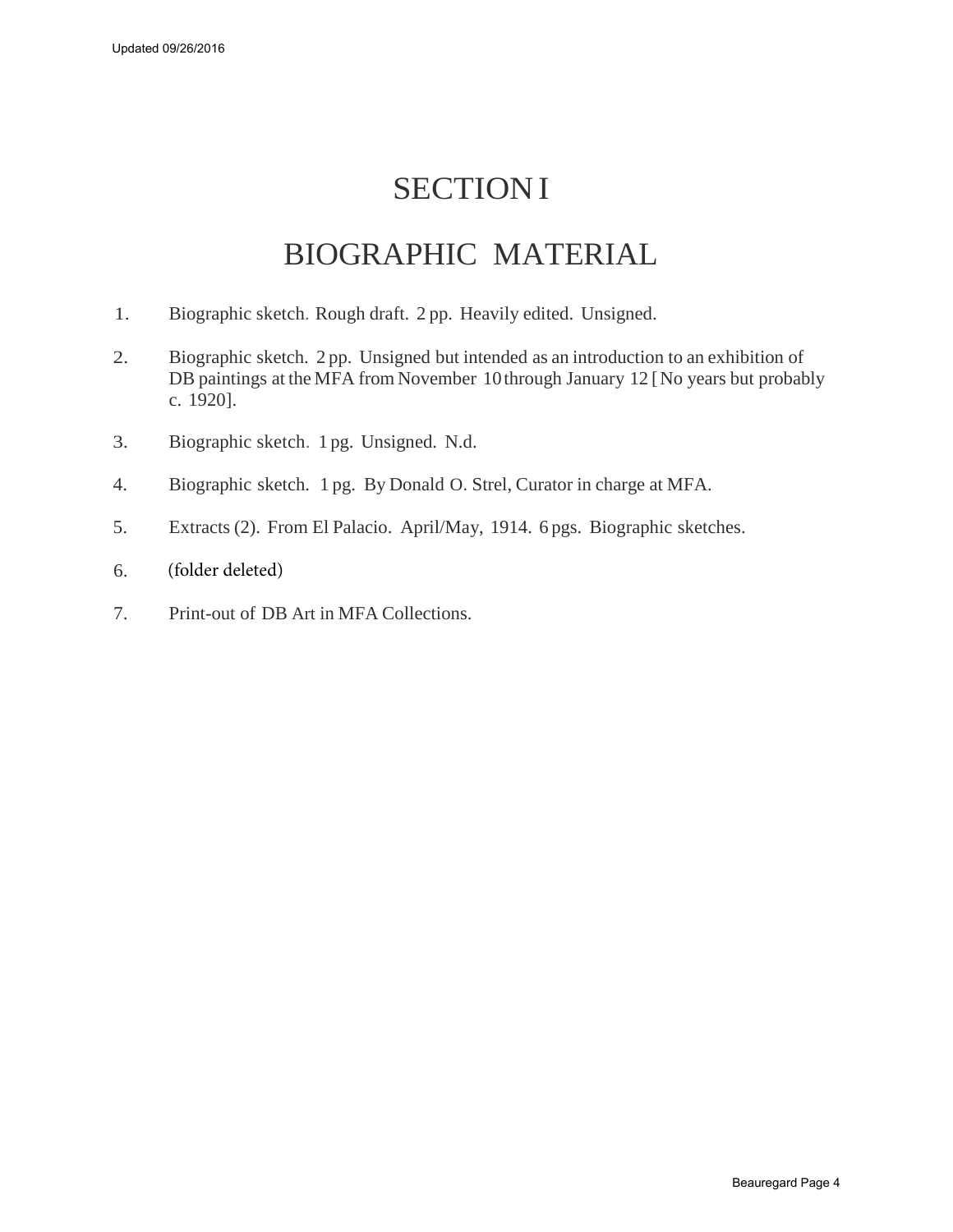## **SECTION I**

### BIOGRAPHIC MATERIAL

- 1. Biographic sketch. Rough draft. 2 pp. Heavily edited. Unsigned.
- 2. Biographic sketch. 2 pp. Unsigned but intended as an introduction to an exhibition of DB paintings at the MFA from November 10 through January 12 [ No years but probably c. 1920].
- 3. Biographic sketch. 1 pg. Unsigned. N.d.
- 4. Biographic sketch. 1 pg. By Donald O. Strel, Curator in charge at MFA.
- 5. Extracts (2). From El Palacio. April/May, 1914. 6 pgs. Biographic sketches.
- 6. (folder deleted)
- 7. Print-out of DB Art in MFA Collections.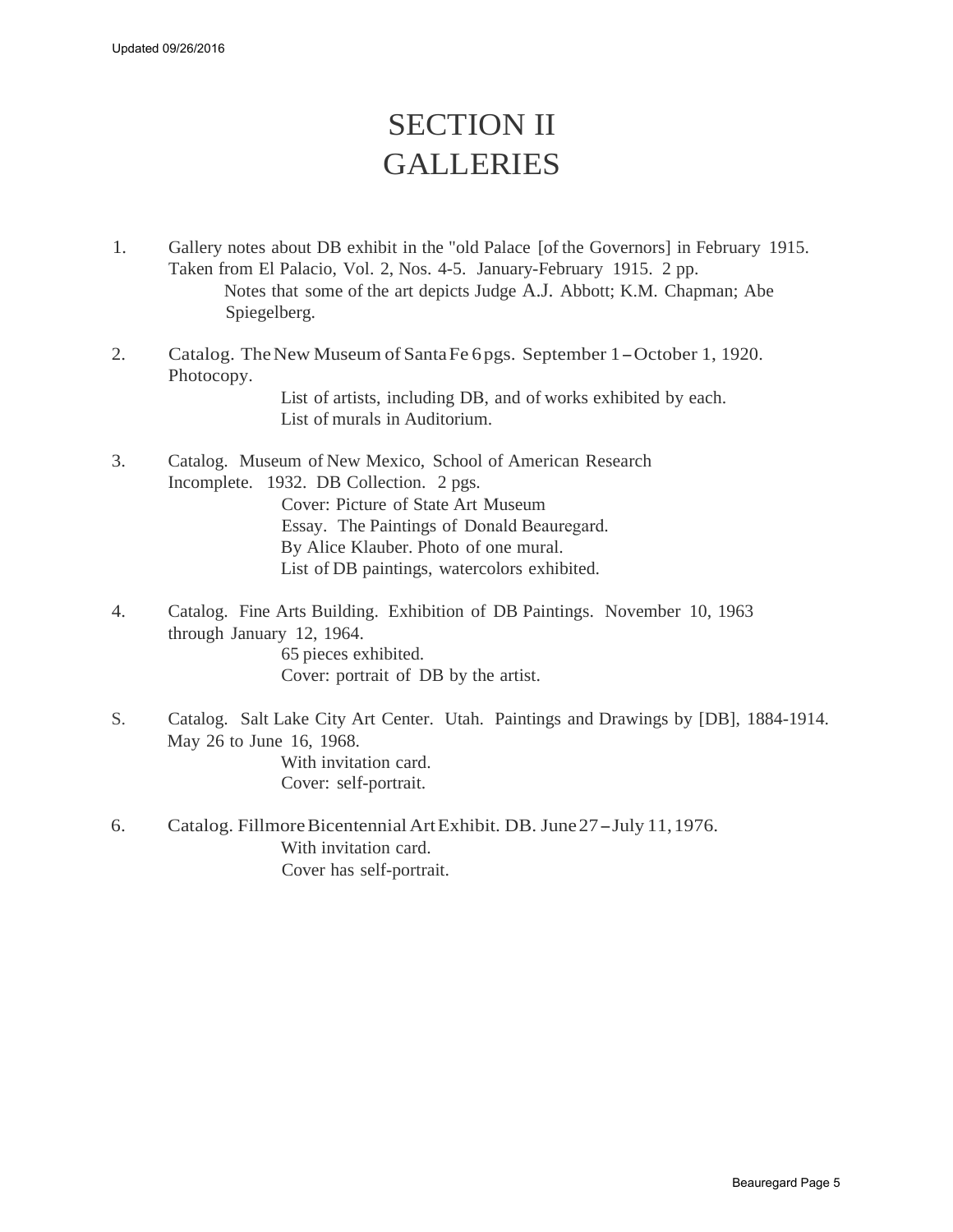## SECTION II GALLERIES

- 1. Gallery notes about DB exhibit in the "old Palace [of the Governors] in February 1915. Taken from El Palacio, Vol. 2, Nos. 4-5. January-February 1915. 2 pp. Notes that some of the art depicts Judge A.J. Abbott; K.M. Chapman; Abe Spiegelberg.
- 2. Catalog. The New Museum of Santa Fe 6 pgs. September 1 October 1, 1920. Photocopy. List of artists, including DB, and of works exhibited by each. List of murals in Auditorium.
- 3. Catalog. Museum of New Mexico, School of American Research Incomplete. 1932. DB Collection. 2 pgs. Cover: Picture of State Art Museum Essay. The Paintings of Donald Beauregard. By Alice Klauber. Photo of one mural. List of DB paintings, watercolors exhibited.
- 4. Catalog. Fine Arts Building. Exhibition of DB Paintings. November 10, 1963 through January 12, 1964. 65 pieces exhibited. Cover: portrait of DB by the artist.
- S. Catalog. Salt Lake City Art Center. Utah. Paintings and Drawings by [DB], 1884-1914. May 26 to June 16, 1968. With invitation card. Cover: self-portrait.
- 6. Catalog. FillmoreBicentennial ArtExhibit. DB. June27- July 11,1976. With invitation card. Cover has self-portrait.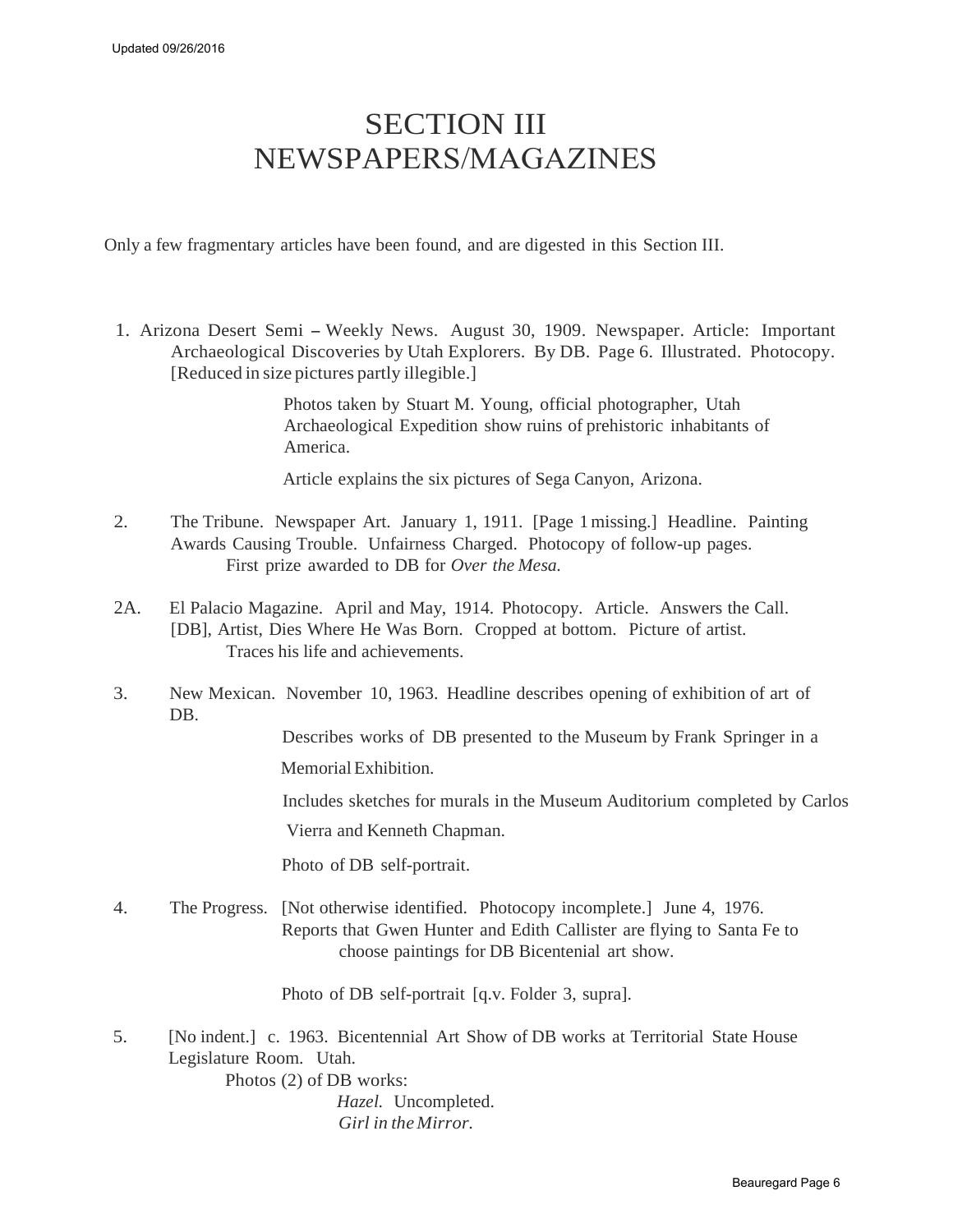### SECTION III NEWSPAPERS/MAGAZINES

Only a few fragmentary articles have been found, and are digested in this Section III.

1. Arizona Desert Semi - Weekly News. August 30, 1909. Newspaper. Article: Important Archaeological Discoveries by Utah Explorers. By DB. Page 6. Illustrated. Photocopy. [Reduced in size pictures partly illegible.]

> Photos taken by Stuart M. Young, official photographer, Utah Archaeological Expedition show ruins of prehistoric inhabitants of America.

Article explains the six pictures of Sega Canyon, Arizona.

- 2. The Tribune. Newspaper Art. January 1, 1911. [Page 1 missing.] Headline. Painting Awards Causing Trouble. Unfairness Charged. Photocopy of follow-up pages. First prize awarded to DB for *Over the Mesa.*
- 2A. El Palacio Magazine. April and May, 1914. Photocopy. Article. Answers the Call. [DB], Artist, Dies Where He Was Born. Cropped at bottom. Picture of artist. Traces his life and achievements.
- 3. New Mexican. November 10, 1963. Headline describes opening of exhibition of art of DB.

Describes works of DB presented to the Museum by Frank Springer in a Memorial Exhibition.

Includes sketches for murals in the Museum Auditorium completed by Carlos

Vierra and Kenneth Chapman.

Photo of DB self-portrait.

4. The Progress. [Not otherwise identified. Photocopy incomplete.] June 4, 1976. Reports that Gwen Hunter and Edith Callister are flying to Santa Fe to choose paintings for DB Bicentenial art show.

Photo of DB self-portrait [q.v. Folder 3, supra].

5. [No indent.] c. 1963. Bicentennial Art Show of DB works at Territorial State House Legislature Room. Utah.

> Photos (2) of DB works: *Hazel.* Uncompleted.

*Girl in the Mirror.*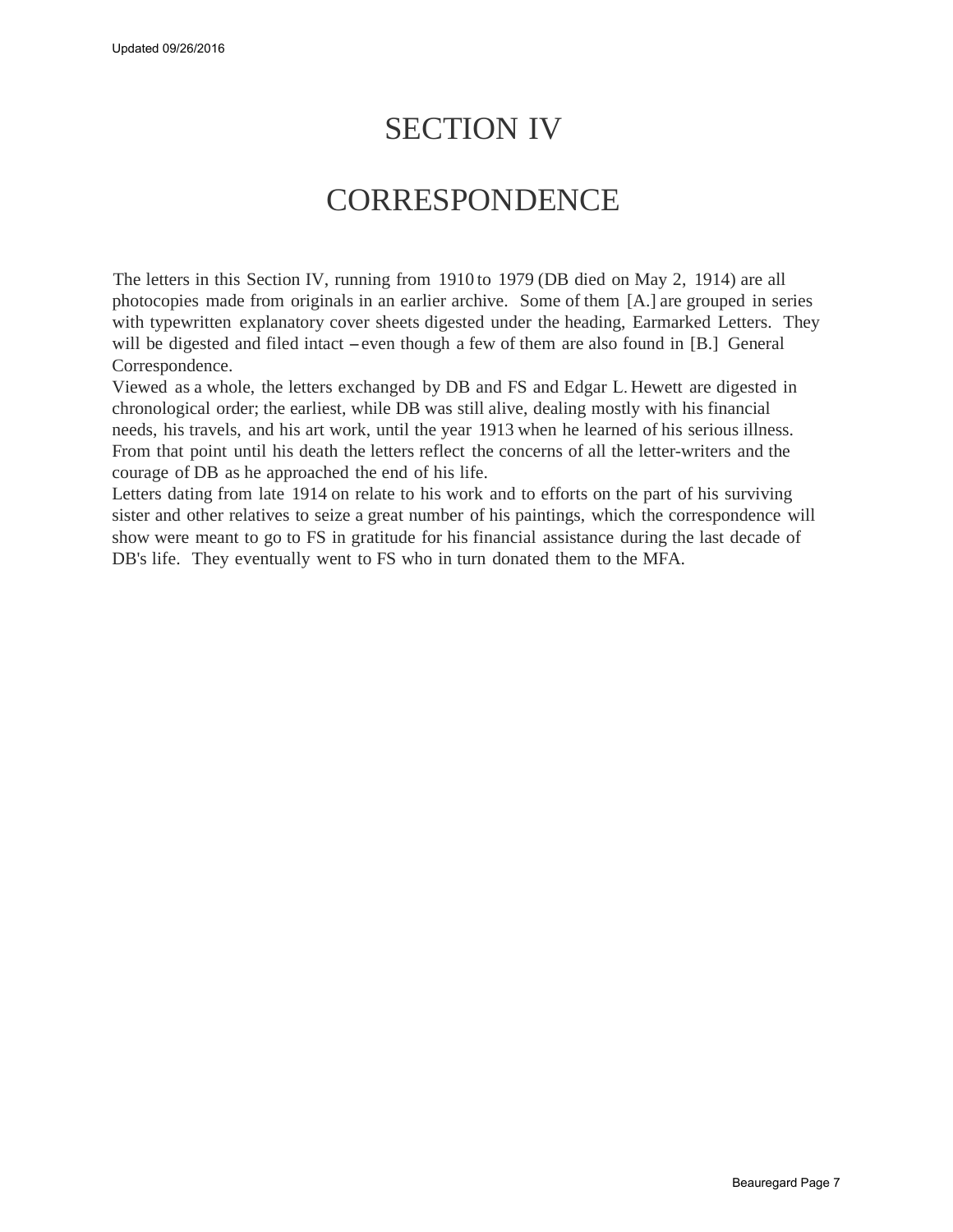## SECTION IV

#### **CORRESPONDENCE**

The letters in this Section IV, running from 1910 to 1979 (DB died on May 2, 1914) are all photocopies made from originals in an earlier archive. Some of them [A.] are grouped in series with typewritten explanatory cover sheets digested under the heading, Earmarked Letters. They will be digested and filed intact – even though a few of them are also found in [B.] General Correspondence.

Viewed as a whole, the letters exchanged by DB and FS and Edgar L. Hewett are digested in chronological order; the earliest, while DB was still alive, dealing mostly with his financial needs, his travels, and his art work, until the year 1913 when he learned of his serious illness. From that point until his death the letters reflect the concerns of all the letter-writers and the courage of DB as he approached the end of his life.

Letters dating from late 1914 on relate to his work and to efforts on the part of his surviving sister and other relatives to seize a great number of his paintings, which the correspondence will show were meant to go to FS in gratitude for his financial assistance during the last decade of DB's life. They eventually went to FS who in turn donated them to the MFA.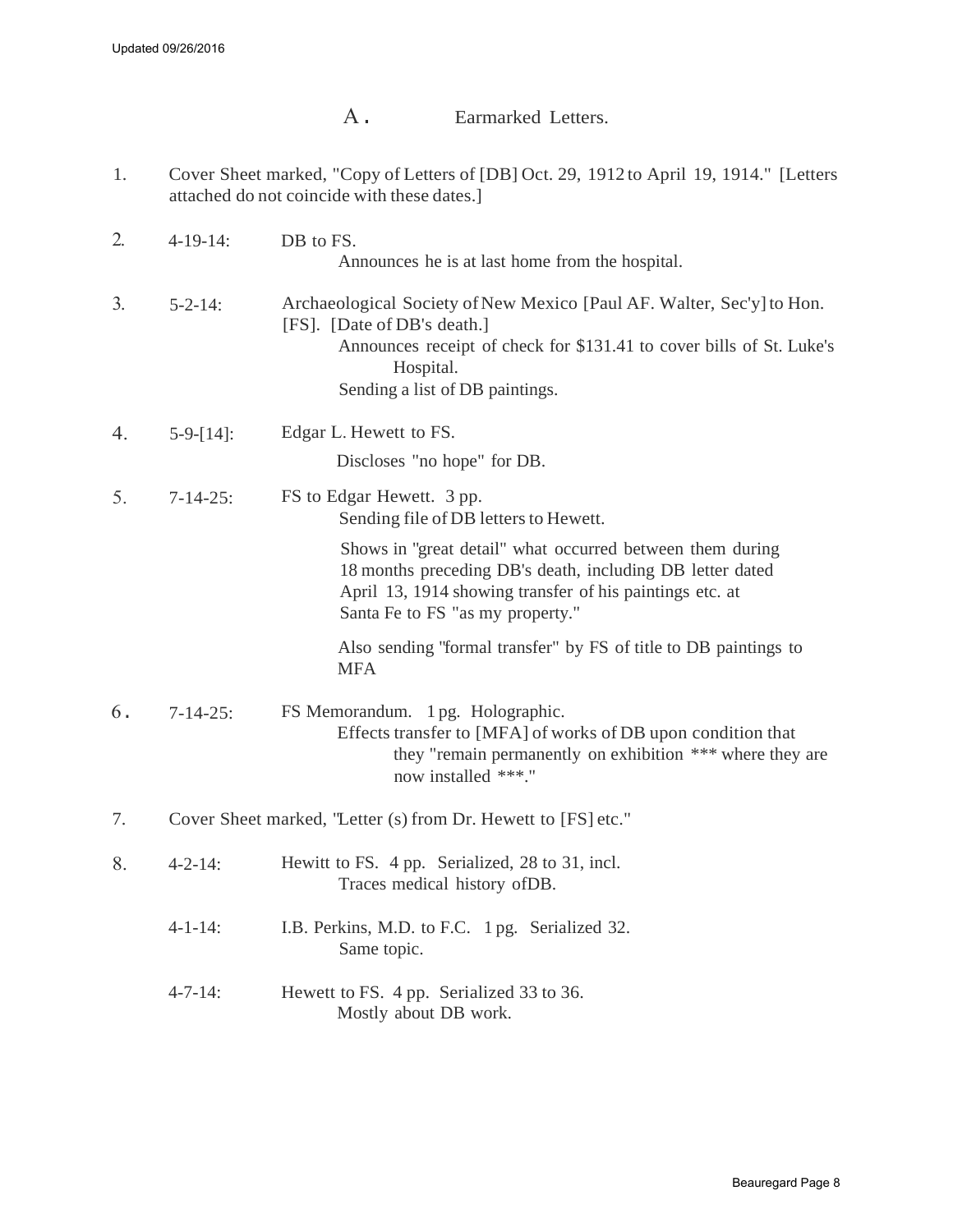A. Earmarked Letters.

<span id="page-7-0"></span>1. Cover Sheet marked, "Copy of Letters of [DB] Oct. 29, 1912 to April 19, 1914." [Letters attached do not coincide with these dates.]

| 2. | $4-19-14$ :                                                   | DB to FS.<br>Announces he is at last home from the hospital.                                                                                                                                                                 |  |
|----|---------------------------------------------------------------|------------------------------------------------------------------------------------------------------------------------------------------------------------------------------------------------------------------------------|--|
| 3. | $5 - 2 - 14$ :                                                | Archaeological Society of New Mexico [Paul AF. Walter, Sec'y] to Hon.<br>[FS]. [Date of DB's death.]<br>Announces receipt of check for \$131.41 to cover bills of St. Luke's<br>Hospital.<br>Sending a list of DB paintings. |  |
| 4. | $5-9-[14]$ :                                                  | Edgar L. Hewett to FS.<br>Discloses "no hope" for DB.                                                                                                                                                                        |  |
| 5. | $7 - 14 - 25$ :                                               | FS to Edgar Hewett. 3 pp.<br>Sending file of DB letters to Hewett.                                                                                                                                                           |  |
|    |                                                               | Shows in "great detail" what occurred between them during<br>18 months preceding DB's death, including DB letter dated<br>April 13, 1914 showing transfer of his paintings etc. at<br>Santa Fe to FS "as my property."       |  |
|    |                                                               | Also sending "formal transfer" by FS of title to DB paintings to<br><b>MFA</b>                                                                                                                                               |  |
| 6. | $7-14-25$ :                                                   | FS Memorandum. 1 pg. Holographic.<br>Effects transfer to [MFA] of works of DB upon condition that<br>they "remain permanently on exhibition *** where they are<br>now installed ***."                                        |  |
| 7. | Cover Sheet marked, "Letter (s) from Dr. Hewett to [FS] etc." |                                                                                                                                                                                                                              |  |
| 8. | $4 - 2 - 14$ :                                                | Hewitt to FS. 4 pp. Serialized, 28 to 31, incl.<br>Traces medical history of DB.                                                                                                                                             |  |
|    | $4 - 1 - 14$ :                                                | I.B. Perkins, M.D. to F.C. 1 pg. Serialized 32.<br>Same topic.                                                                                                                                                               |  |
|    | $4 - 7 - 14$ :                                                | Hewett to FS. 4 pp. Serialized 33 to 36.<br>Mostly about DB work.                                                                                                                                                            |  |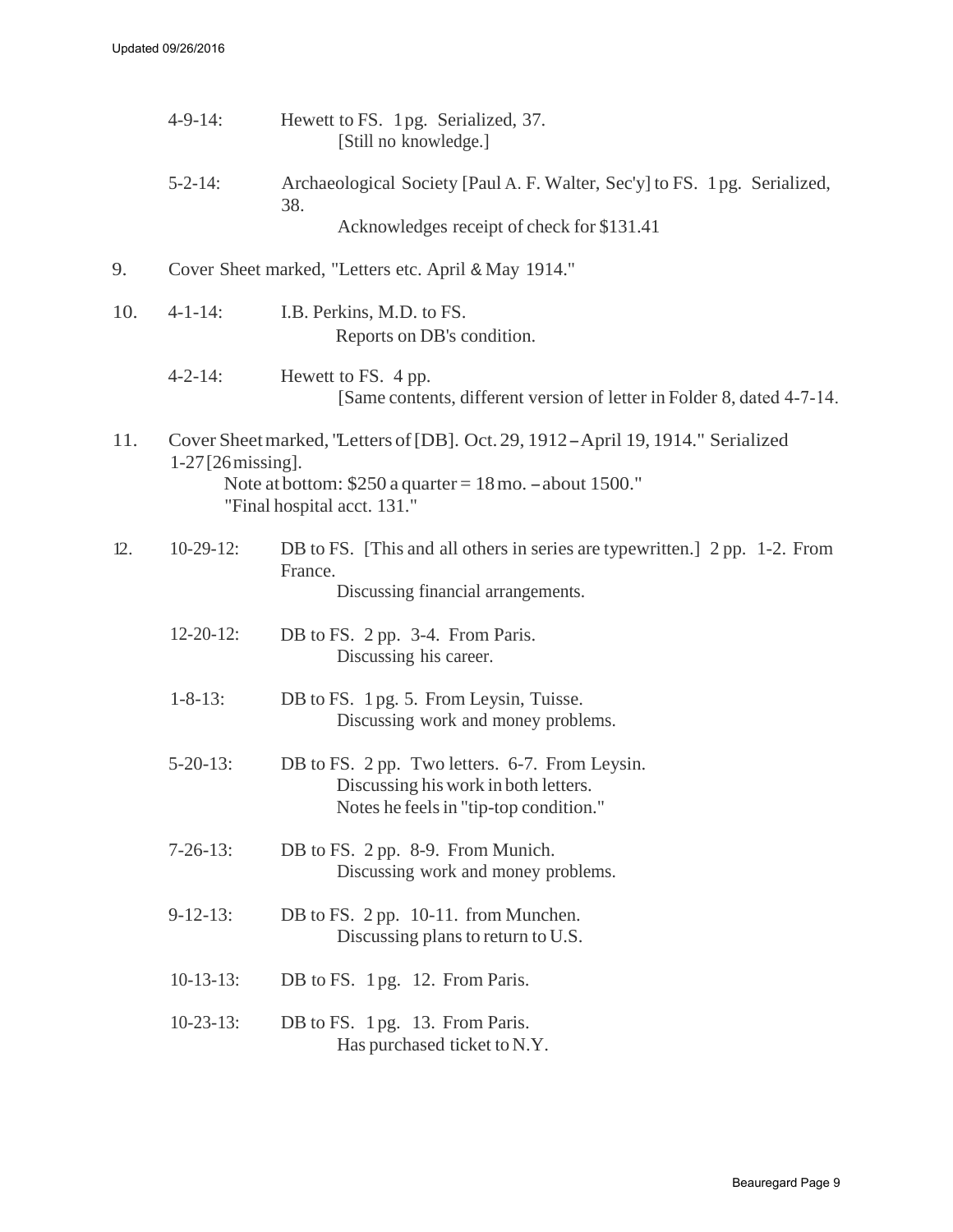|     | $4-9-14$ :                                                                                                                                                                                                  | Hewett to FS. 1pg. Serialized, 37.<br>[Still no knowledge.]                                                                      |
|-----|-------------------------------------------------------------------------------------------------------------------------------------------------------------------------------------------------------------|----------------------------------------------------------------------------------------------------------------------------------|
|     | $5 - 2 - 14$ :                                                                                                                                                                                              | Archaeological Society [Paul A. F. Walter, Sec'y] to FS. 1pg. Serialized,<br>38.<br>Acknowledges receipt of check for \$131.41   |
| 9.  |                                                                                                                                                                                                             | Cover Sheet marked, "Letters etc. April & May 1914."                                                                             |
| 10. | $4 - 1 - 14$ :                                                                                                                                                                                              | I.B. Perkins, M.D. to FS.<br>Reports on DB's condition.                                                                          |
|     | $4 - 2 - 14$ :                                                                                                                                                                                              | Hewett to FS. 4 pp.<br>[Same contents, different version of letter in Folder 8, dated 4-7-14.]                                   |
| 11. | Cover Sheet marked, "Letters of [DB]. Oct. 29, 1912 - April 19, 1914." Serialized<br>$1-27$ [26 $\,$ missing].<br>Note at bottom: $$250$ a quarter = 18 mo. $-$ about 1500."<br>"Final hospital acct. 131." |                                                                                                                                  |
| 12. | $10-29-12$ :                                                                                                                                                                                                | DB to FS. [This and all others in series are typewritten.] 2 pp. 1-2. From<br>France.<br>Discussing financial arrangements.      |
|     | $12 - 20 - 12$ :                                                                                                                                                                                            | DB to FS. 2 pp. 3-4. From Paris.<br>Discussing his career.                                                                       |
|     | $1 - 8 - 13$ :                                                                                                                                                                                              | DB to FS. 1 pg. 5. From Leysin, Tuisse.<br>Discussing work and money problems.                                                   |
|     | $5 - 20 - 13$ :                                                                                                                                                                                             | DB to FS. 2 pp. Two letters. 6-7. From Leysin.<br>Discussing his work in both letters.<br>Notes he feels in "tip-top condition." |
|     | $7-26-13$ :                                                                                                                                                                                                 | DB to FS. 2 pp. 8-9. From Munich.<br>Discussing work and money problems.                                                         |
|     | $9-12-13$ :                                                                                                                                                                                                 | DB to FS. 2 pp. 10-11. from Munchen.<br>Discussing plans to return to U.S.                                                       |
|     | $10-13-13$ :                                                                                                                                                                                                | DB to FS. 1 pg. 12. From Paris.                                                                                                  |
|     | $10-23-13$ :                                                                                                                                                                                                | DB to FS. 1 pg. 13. From Paris.<br>Has purchased ticket to N.Y.                                                                  |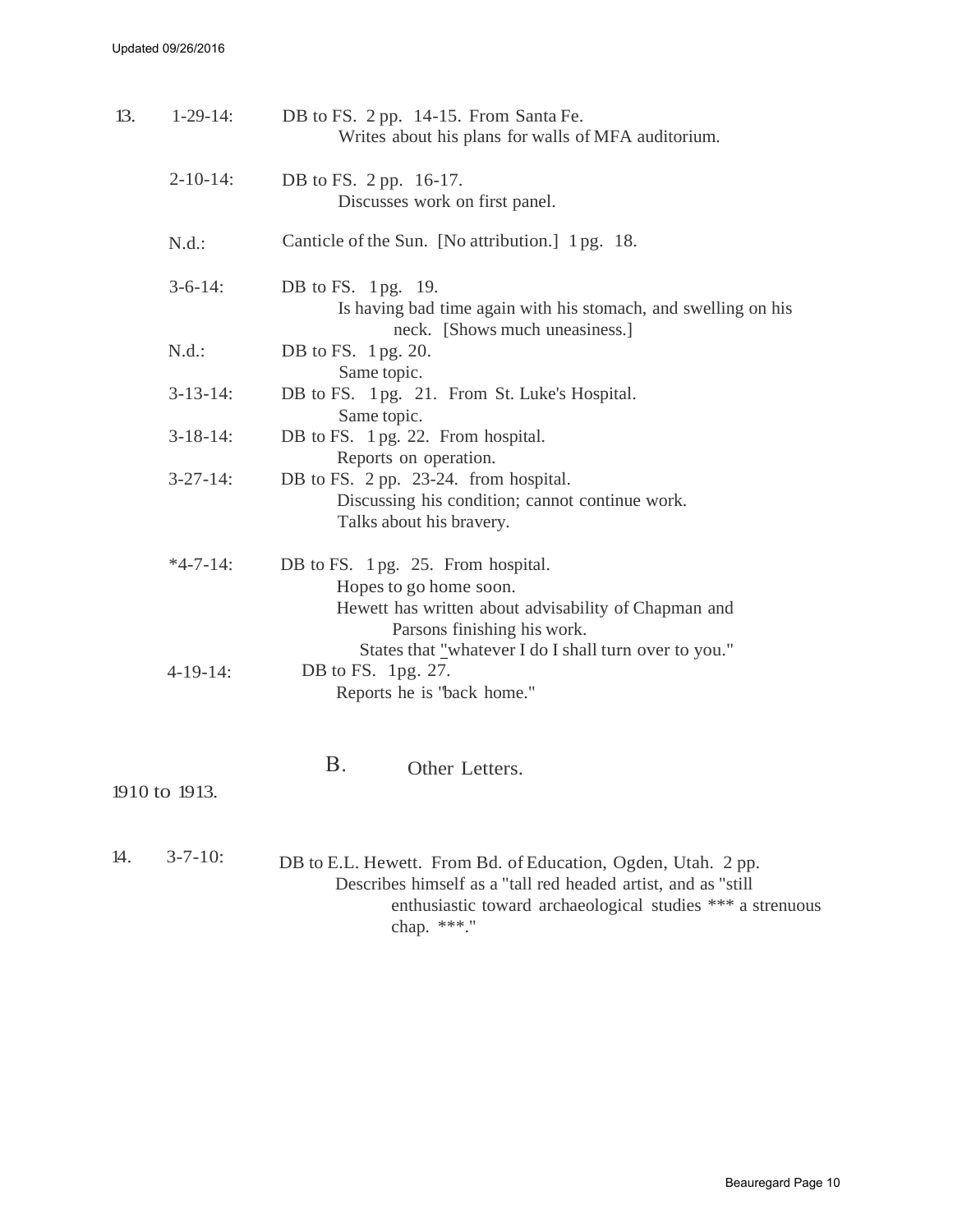| 13. | $1-29-14:$      | DB to FS. 2 pp. 14-15. From Santa Fe.<br>Writes about his plans for walls of MFA auditorium.                                                                                                               |
|-----|-----------------|------------------------------------------------------------------------------------------------------------------------------------------------------------------------------------------------------------|
|     | $2 - 10 - 14$ : | DB to FS. 2 pp. 16-17.<br>Discusses work on first panel.                                                                                                                                                   |
|     | N.d.:           | Canticle of the Sun. [No attribution.] 1 pg. 18.                                                                                                                                                           |
|     | $3-6-14$ :      | DB to FS. 1 pg. 19.<br>Is having bad time again with his stomach, and swelling on his<br>neck. [Shows much uneasiness.]                                                                                    |
|     | N.d.:           | DB to FS. 1 pg. 20.<br>Same topic.                                                                                                                                                                         |
|     | $3-13-14$ :     | DB to FS. 1pg. 21. From St. Luke's Hospital.<br>Same topic.                                                                                                                                                |
|     | $3-18-14$ :     | DB to FS. 1 pg. 22. From hospital.<br>Reports on operation.                                                                                                                                                |
|     | $3 - 27 - 14$ : | DB to FS. 2 pp. 23-24. from hospital.<br>Discussing his condition; cannot continue work.<br>Talks about his bravery.                                                                                       |
|     | $*4-7-14:$      | DB to FS. 1 pg. 25. From hospital.<br>Hopes to go home soon.<br>Hewett has written about advisability of Chapman and<br>Parsons finishing his work.                                                        |
|     | $4-19-14$ :     | States that "whatever I do I shall turn over to you."<br>DB to FS. 1pg. 27.<br>Reports he is "back home."                                                                                                  |
|     | 1910 to 1913.   | B <sub>1</sub><br>Other Letters.                                                                                                                                                                           |
| 14. | $3 - 7 - 10$ :  | DB to E.L. Hewett. From Bd. of Education, Ogden, Utah. 2 pp.<br>Describes himself as a "tall red headed artist, and as "still<br>enthusiastic toward archaeological studies *** a strenuous<br>chap. ***." |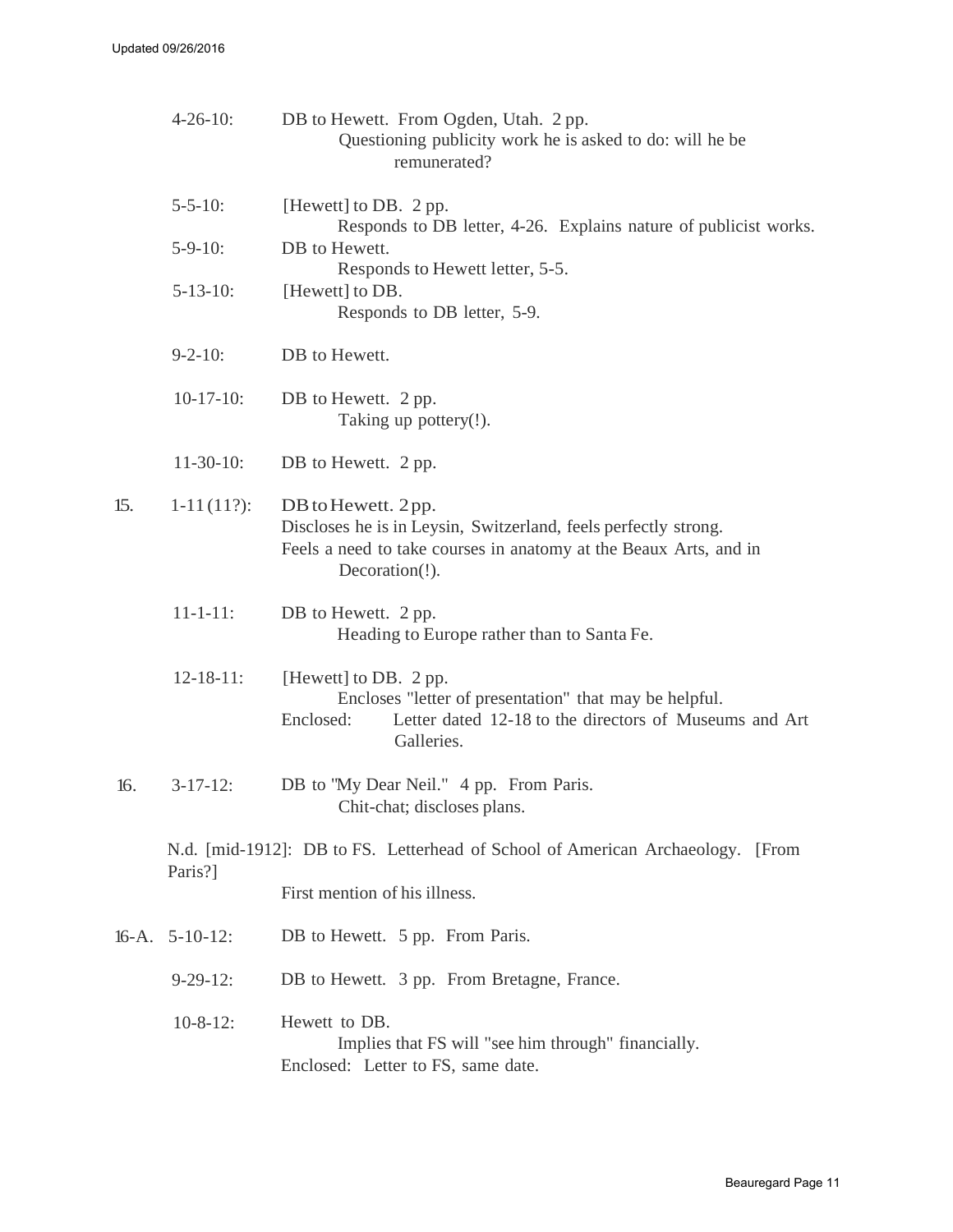|     | $4 - 26 - 10$ :   | DB to Hewett. From Ogden, Utah. 2 pp.<br>Questioning publicity work he is asked to do: will he be<br>remunerated?                                                            |
|-----|-------------------|------------------------------------------------------------------------------------------------------------------------------------------------------------------------------|
|     | $5 - 5 - 10$ :    | [Hewett] to DB. 2 pp.<br>Responds to DB letter, 4-26. Explains nature of publicist works.                                                                                    |
|     | $5-9-10$ :        | DB to Hewett.<br>Responds to Hewett letter, 5-5.                                                                                                                             |
|     | $5 - 13 - 10$ :   | [Hewett] to DB.<br>Responds to DB letter, 5-9.                                                                                                                               |
|     | $9 - 2 - 10$ :    | DB to Hewett.                                                                                                                                                                |
|     | $10-17-10$ :      | DB to Hewett. 2 pp.<br>Taking up pottery(!).                                                                                                                                 |
|     | $11-30-10$ :      | DB to Hewett. 2 pp.                                                                                                                                                          |
| 15. | $1-11(11?)$ :     | DB to Hewett. 2pp.<br>Discloses he is in Leysin, Switzerland, feels perfectly strong.<br>Feels a need to take courses in anatomy at the Beaux Arts, and in<br>Decoration(!). |
|     | $11 - 1 - 11$ :   | DB to Hewett. 2 pp.<br>Heading to Europe rather than to Santa Fe.                                                                                                            |
|     | $12 - 18 - 11$ :  | [Hewett] to DB. 2 pp.<br>Encloses "letter of presentation" that may be helpful.<br>Letter dated 12-18 to the directors of Museums and Art<br>Enclosed:<br>Galleries.         |
| 16. | $3-17-12$ :       | DB to "My Dear Neil." 4 pp. From Paris.<br>Chit-chat; discloses plans.                                                                                                       |
|     | Paris?]           | N.d. [mid-1912]: DB to FS. Letterhead of School of American Archaeology. [From                                                                                               |
|     |                   | First mention of his illness.                                                                                                                                                |
|     | $16-A. 5-10-12$ : | DB to Hewett. 5 pp. From Paris.                                                                                                                                              |
|     | $9-29-12$ :       | DB to Hewett. 3 pp. From Bretagne, France.                                                                                                                                   |
|     | $10-8-12$ :       | Hewett to DB.<br>Implies that FS will "see him through" financially.<br>Enclosed: Letter to FS, same date.                                                                   |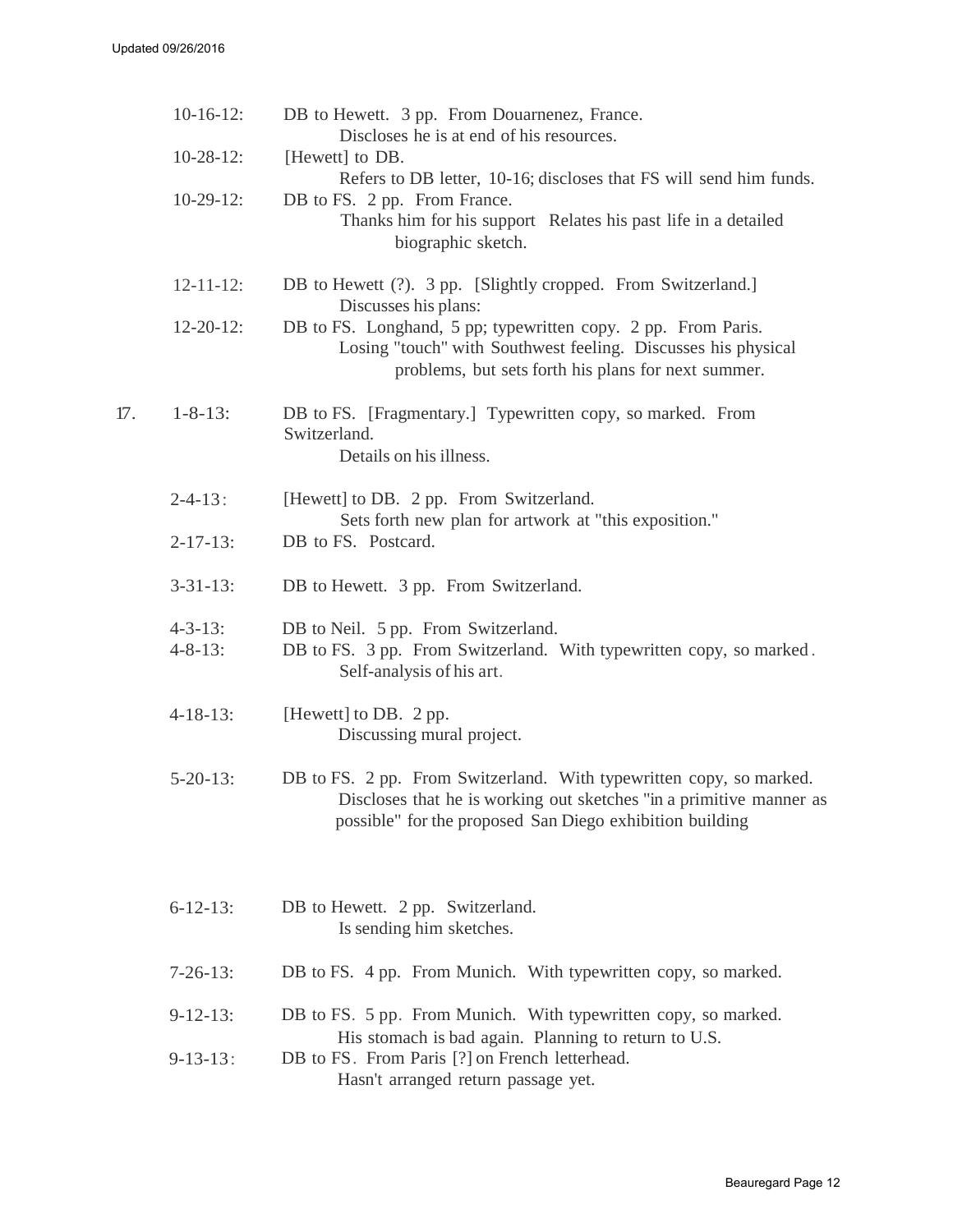|     | $10-16-12$ :                     | DB to Hewett. 3 pp. From Douarnenez, France.<br>Discloses he is at end of his resources.                                                                                                               |
|-----|----------------------------------|--------------------------------------------------------------------------------------------------------------------------------------------------------------------------------------------------------|
|     | $10-28-12$ :                     | [Hewett] to DB.                                                                                                                                                                                        |
|     | $10-29-12$ :                     | Refers to DB letter, 10-16; discloses that FS will send him funds.<br>DB to FS. 2 pp. From France.                                                                                                     |
|     |                                  | Thanks him for his support Relates his past life in a detailed<br>biographic sketch.                                                                                                                   |
|     | $12 - 11 - 12$ :                 | DB to Hewett (?). 3 pp. [Slightly cropped. From Switzerland.]<br>Discusses his plans:                                                                                                                  |
|     | $12 - 20 - 12$ :                 | DB to FS. Longhand, 5 pp; typewritten copy. 2 pp. From Paris.<br>Losing "touch" with Southwest feeling. Discusses his physical<br>problems, but sets forth his plans for next summer.                  |
| 17. | $1 - 8 - 13$ :                   | DB to FS. [Fragmentary.] Typewritten copy, so marked. From<br>Switzerland.<br>Details on his illness.                                                                                                  |
|     | $2 - 4 - 13$ :                   | [Hewett] to DB. 2 pp. From Switzerland.<br>Sets forth new plan for artwork at "this exposition."                                                                                                       |
|     | $2 - 17 - 13$ :                  | DB to FS. Postcard.                                                                                                                                                                                    |
|     | $3 - 31 - 13$ :                  | DB to Hewett. 3 pp. From Switzerland.                                                                                                                                                                  |
|     | $4 - 3 - 13$ :<br>$4 - 8 - 13$ : | DB to Neil. 5 pp. From Switzerland.<br>DB to FS. 3 pp. From Switzerland. With typewritten copy, so marked.<br>Self-analysis of his art.                                                                |
|     | $4 - 18 - 13$ :                  | [Hewett] to DB. 2 pp.<br>Discussing mural project.                                                                                                                                                     |
|     | $5 - 20 - 13$ :                  | DB to FS. 2 pp. From Switzerland. With typewritten copy, so marked.<br>Discloses that he is working out sketches "in a primitive manner as<br>possible" for the proposed San Diego exhibition building |
|     | $6 - 12 - 13$ :                  | DB to Hewett. 2 pp. Switzerland.<br>Is sending him sketches.                                                                                                                                           |
|     | $7-26-13$ :                      | DB to FS. 4 pp. From Munich. With typewritten copy, so marked.                                                                                                                                         |
|     | $9-12-13$ :                      | DB to FS. 5 pp. From Munich. With typewritten copy, so marked.<br>His stomach is bad again. Planning to return to U.S.                                                                                 |
|     | $9-13-13$ :                      | DB to FS. From Paris [?] on French letterhead.<br>Hasn't arranged return passage yet.                                                                                                                  |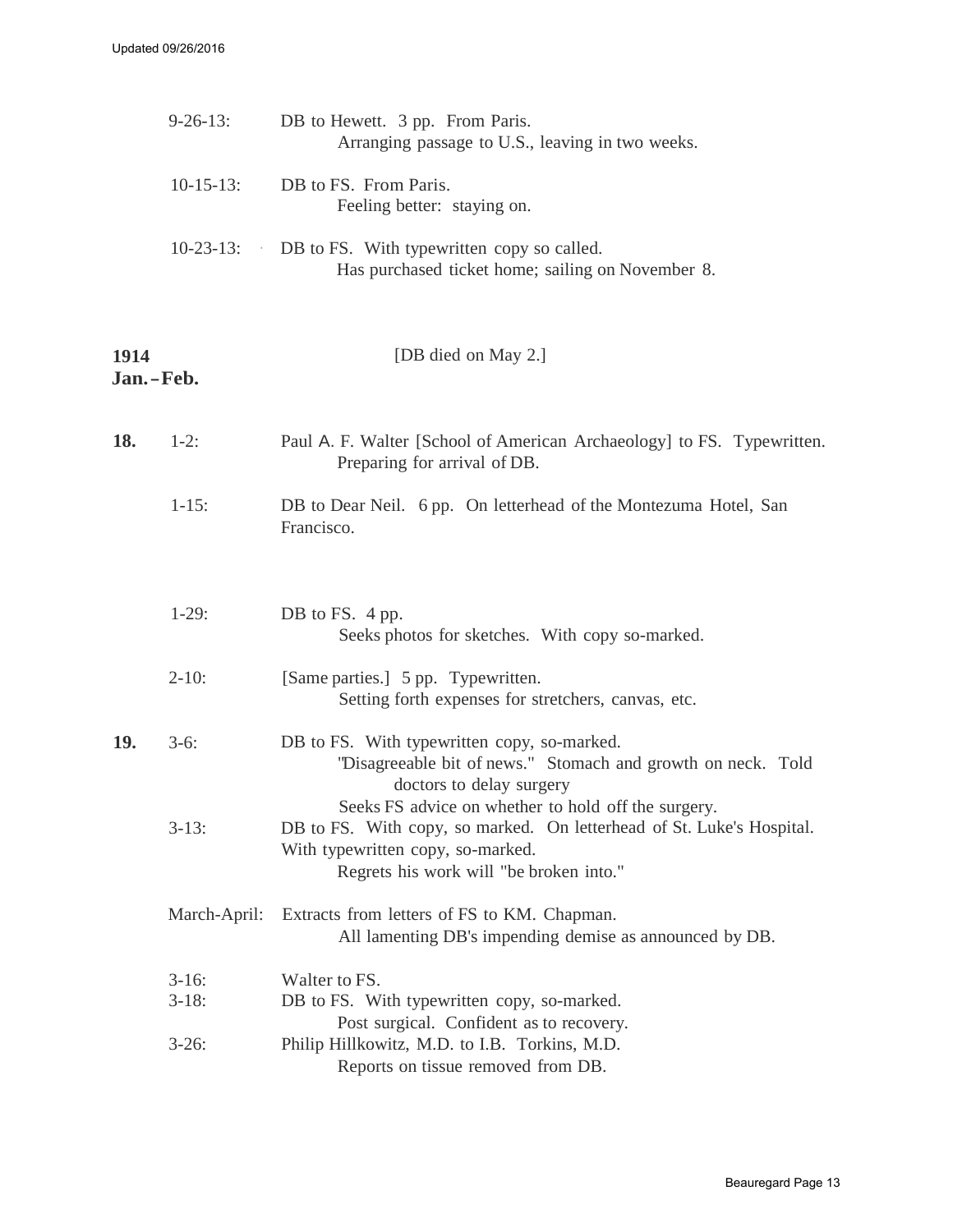|      | $9 - 26 - 13$ :    | DB to Hewett. 3 pp. From Paris.<br>Arranging passage to U.S., leaving in two weeks.                                                                                                                          |
|------|--------------------|--------------------------------------------------------------------------------------------------------------------------------------------------------------------------------------------------------------|
|      | $10-15-13$ :       | DB to FS. From Paris.<br>Feeling better: staying on.                                                                                                                                                         |
|      | $10-23-13$ :       | DB to FS. With typewritten copy so called.<br>Has purchased ticket home; sailing on November 8.                                                                                                              |
| 1914 | Jan.-Feb.          | [DB died on May 2.]                                                                                                                                                                                          |
| 18.  | $1-2:$             | Paul A. F. Walter [School of American Archaeology] to FS. Typewritten.<br>Preparing for arrival of DB.                                                                                                       |
|      | $1 - 15$ :         | DB to Dear Neil. 6 pp. On letterhead of the Montezuma Hotel, San<br>Francisco.                                                                                                                               |
|      | $1-29:$            | DB to FS. 4 pp.<br>Seeks photos for sketches. With copy so-marked.                                                                                                                                           |
|      | $2 - 10$ :         | [Same parties.] 5 pp. Typewritten.<br>Setting forth expenses for stretchers, canvas, etc.                                                                                                                    |
| 19.  | $3-6:$             | DB to FS. With typewritten copy, so-marked.<br>"Disagreeable bit of news." Stomach and growth on neck. Told<br>doctors to delay surgery                                                                      |
|      | $3-13$ :           | Seeks FS advice on whether to hold off the surgery.<br>DB to FS. With copy, so marked. On letterhead of St. Luke's Hospital.<br>With typewritten copy, so-marked.<br>Regrets his work will "be broken into." |
|      | March-April:       | Extracts from letters of FS to KM. Chapman.<br>All lamenting DB's impending demise as announced by DB.                                                                                                       |
|      | $3-16:$<br>$3-18:$ | Walter to FS.<br>DB to FS. With typewritten copy, so-marked.<br>Post surgical. Confident as to recovery.                                                                                                     |
|      | $3-26:$            | Philip Hillkowitz, M.D. to I.B. Torkins, M.D.<br>Reports on tissue removed from DB.                                                                                                                          |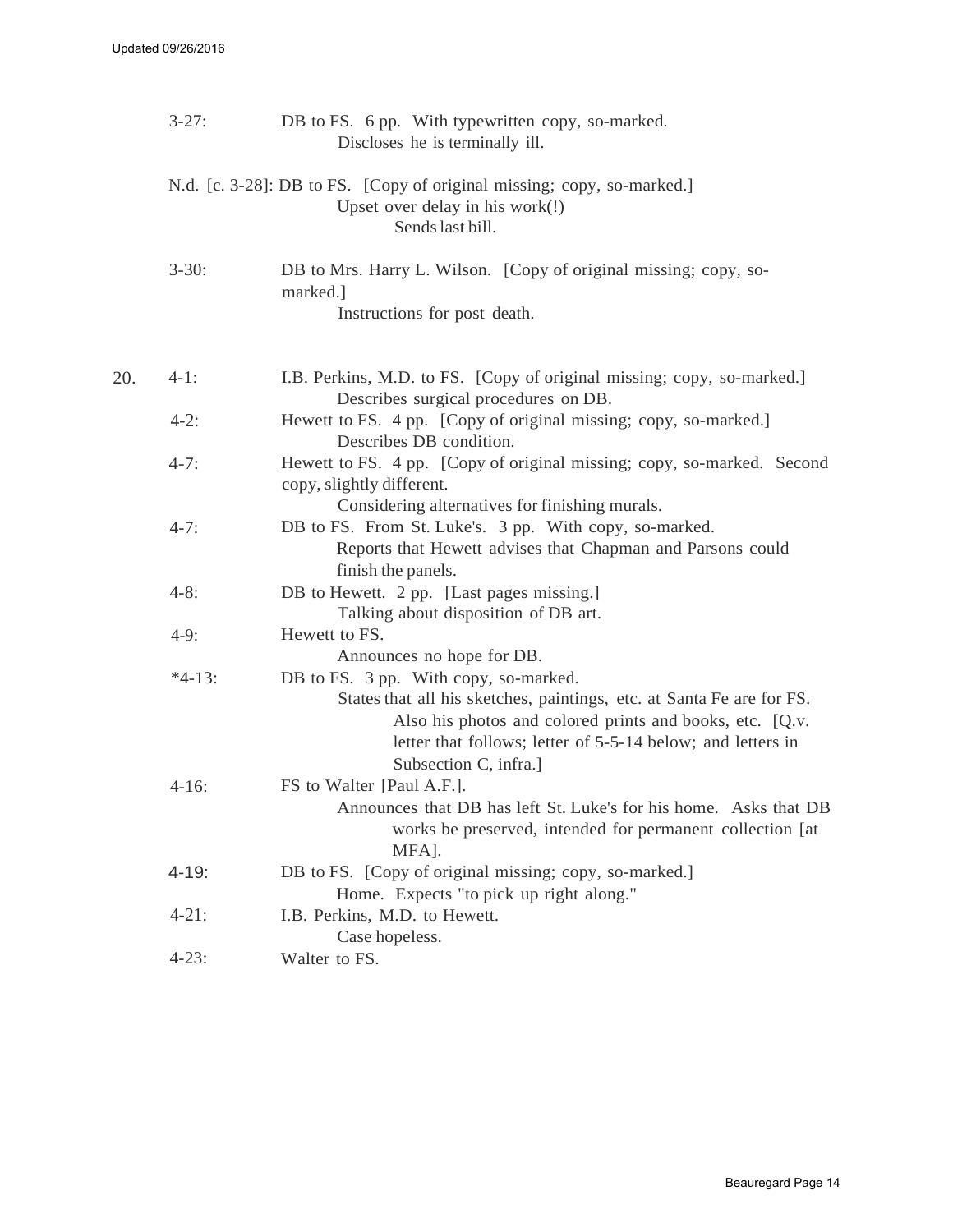|     | $3 - 27$ : | DB to FS. 6 pp. With typewritten copy, so-marked.<br>Discloses he is terminally ill.                                                                                                                                                                               |
|-----|------------|--------------------------------------------------------------------------------------------------------------------------------------------------------------------------------------------------------------------------------------------------------------------|
|     |            | N.d. [c. 3-28]: DB to FS. [Copy of original missing; copy, so-marked.]<br>Upset over delay in his work(!)<br>Sends last bill.                                                                                                                                      |
|     | $3 - 30:$  | DB to Mrs. Harry L. Wilson. [Copy of original missing; copy, so-<br>marked.]<br>Instructions for post death.                                                                                                                                                       |
| 20. | $4-1:$     | I.B. Perkins, M.D. to FS. [Copy of original missing; copy, so-marked.]                                                                                                                                                                                             |
|     |            | Describes surgical procedures on DB.                                                                                                                                                                                                                               |
|     | $4-2:$     | Hewett to FS. 4 pp. [Copy of original missing; copy, so-marked.]<br>Describes DB condition.                                                                                                                                                                        |
|     | $4-7:$     | Hewett to FS. 4 pp. [Copy of original missing; copy, so-marked. Second<br>copy, slightly different.<br>Considering alternatives for finishing murals.                                                                                                              |
|     | $4-7:$     | DB to FS. From St. Luke's. 3 pp. With copy, so-marked.<br>Reports that Hewett advises that Chapman and Parsons could<br>finish the panels.                                                                                                                         |
|     | $4 - 8:$   | DB to Hewett. 2 pp. [Last pages missing.]<br>Talking about disposition of DB art.                                                                                                                                                                                  |
|     | $4-9:$     | Hewett to FS.                                                                                                                                                                                                                                                      |
|     |            | Announces no hope for DB.                                                                                                                                                                                                                                          |
|     | $*4-13:$   | DB to FS. 3 pp. With copy, so-marked.<br>States that all his sketches, paintings, etc. at Santa Fe are for FS.<br>Also his photos and colored prints and books, etc. [Q.v.<br>letter that follows; letter of 5-5-14 below; and letters in<br>Subsection C, infra.] |
|     | $4-16:$    | FS to Walter [Paul A.F.].<br>Announces that DB has left St. Luke's for his home. Asks that DB<br>works be preserved, intended for permanent collection [at<br>MFA].                                                                                                |
|     | $4 - 19$ : | DB to FS. [Copy of original missing; copy, so-marked.]<br>Home. Expects "to pick up right along."                                                                                                                                                                  |
|     | $4 - 21$ : | I.B. Perkins, M.D. to Hewett.                                                                                                                                                                                                                                      |
|     |            | Case hopeless.                                                                                                                                                                                                                                                     |
|     | $4 - 23$ : | Walter to FS.                                                                                                                                                                                                                                                      |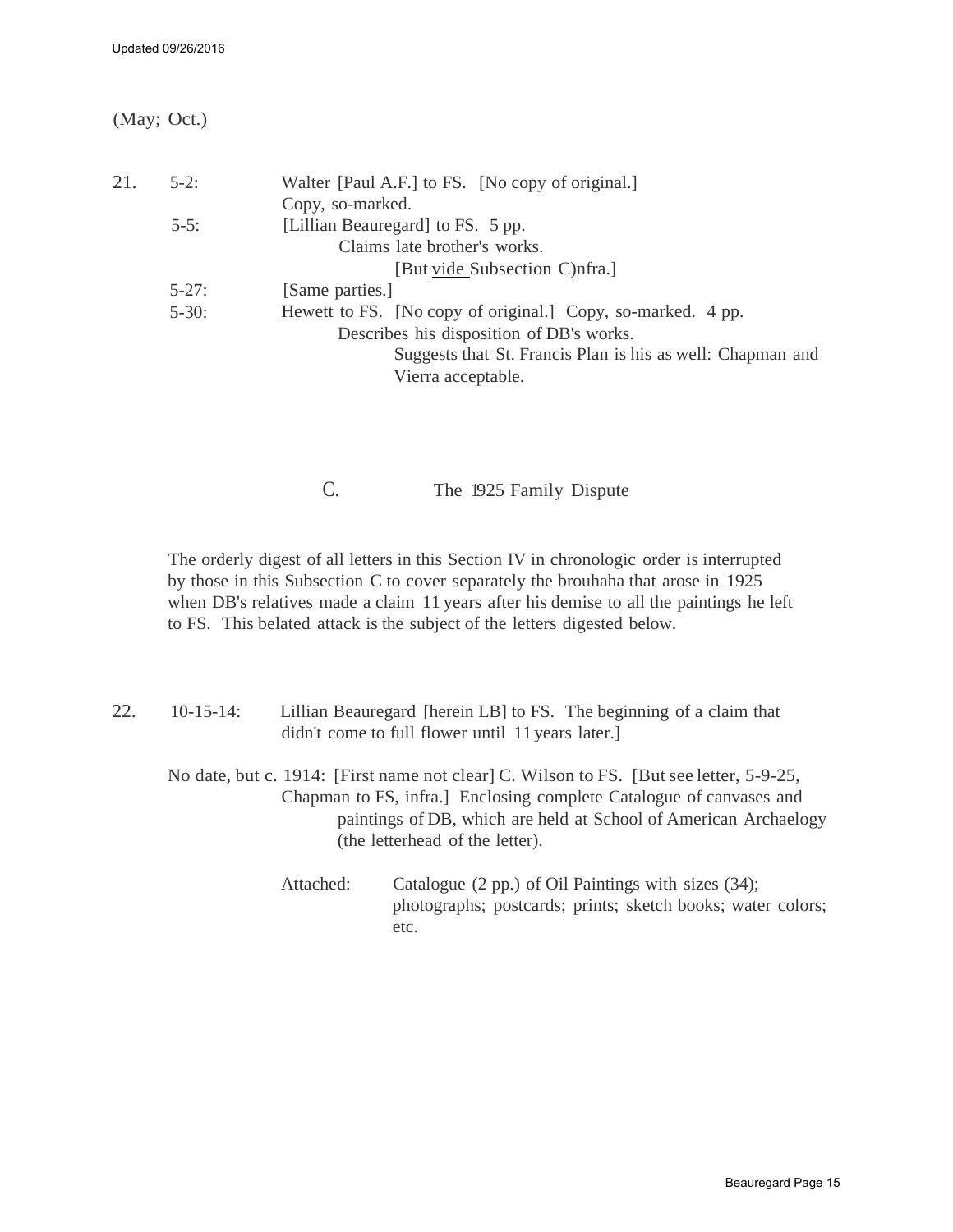(May; Oct.)

| 21. | $5-2$ :    | Walter [Paul A.F.] to FS. [No copy of original.]            |
|-----|------------|-------------------------------------------------------------|
|     |            | Copy, so-marked.                                            |
|     | $5-5$ :    | [Lillian Beauregard] to FS. 5 pp.                           |
|     |            | Claims late brother's works.                                |
|     |            | [But vide Subsection C)nfra.]                               |
|     | $5 - 27$ : | [Same parties.]                                             |
|     | $5 - 30$ : | Hewett to FS. [No copy of original.] Copy, so-marked. 4 pp. |
|     |            | Describes his disposition of DB's works.                    |
|     |            | Suggests that St. Francis Plan is his as well: Chapman and  |
|     |            | Vierra acceptable.                                          |

C. The 1925 Family Dispute

<span id="page-14-0"></span>The orderly digest of all letters in this Section IV in chronologic order is interrupted by those in this Subsection C to cover separately the brouhaha that arose in 1925 when DB's relatives made a claim 11 years after his demise to all the paintings he left to FS. This belated attack is the subject of the letters digested below.

| 22. | $10-15-14$ : |           | Lillian Beauregard [herein LB] to FS. The beginning of a claim that<br>didn't come to full flower until 11 years later.                                                                                                                                              |
|-----|--------------|-----------|----------------------------------------------------------------------------------------------------------------------------------------------------------------------------------------------------------------------------------------------------------------------|
|     |              |           | No date, but c. 1914: [First name not clear] C. Wilson to FS. [But see letter, 5-9-25,<br>Chapman to FS, infra.] Enclosing complete Catalogue of canvases and<br>paintings of DB, which are held at School of American Archaelogy<br>(the letterhead of the letter). |
|     |              | Attached: | Catalogue (2 pp.) of Oil Paintings with sizes (34);<br>photographs; postcards; prints; sketch books; water colors;                                                                                                                                                   |

etc.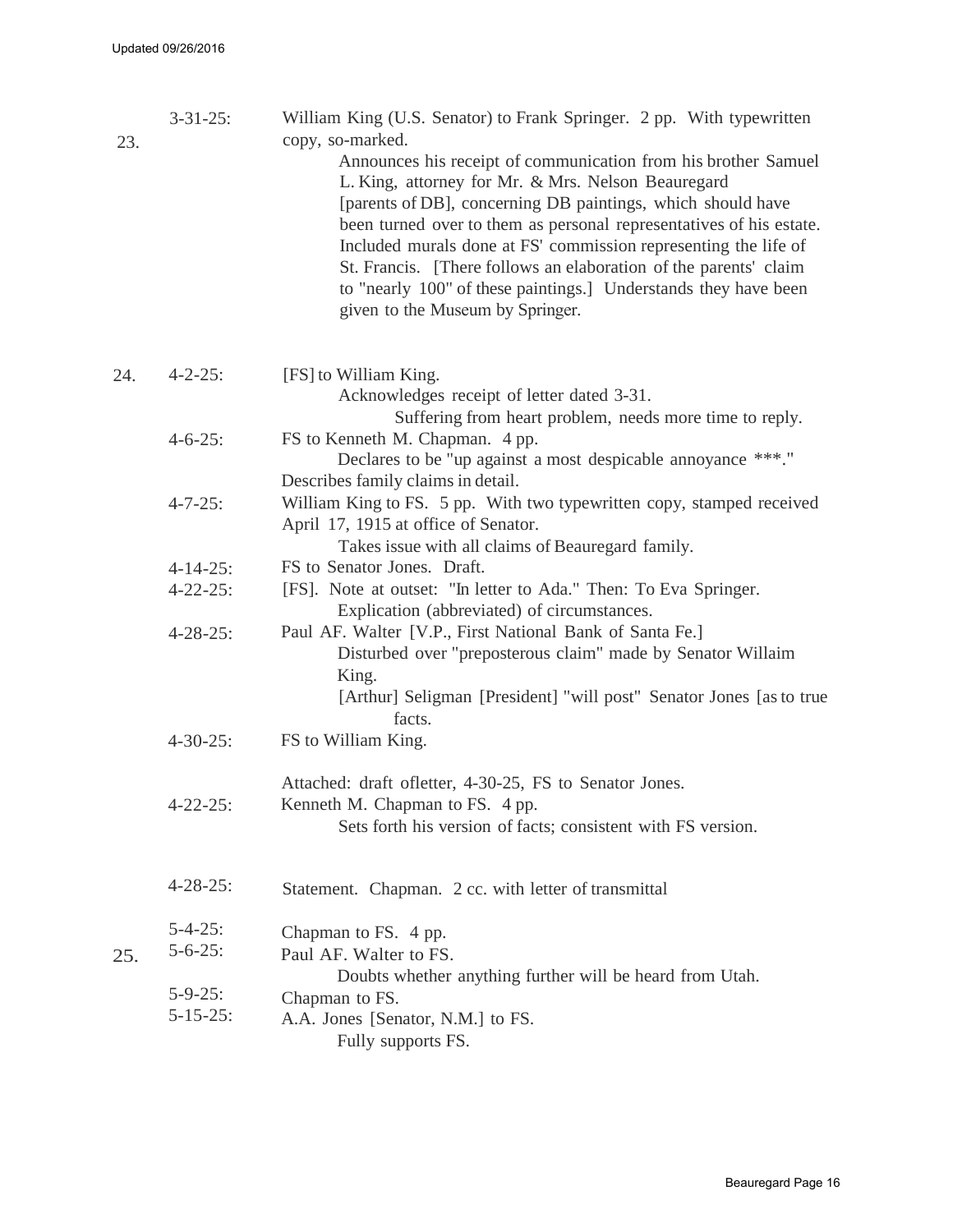| 23. | $3 - 31 - 25$ : | William King (U.S. Senator) to Frank Springer. 2 pp. With typewritten<br>copy, so-marked.<br>Announces his receipt of communication from his brother Samuel<br>L. King, attorney for Mr. & Mrs. Nelson Beauregard<br>[parents of DB], concerning DB paintings, which should have<br>been turned over to them as personal representatives of his estate.<br>Included murals done at FS' commission representing the life of<br>St. Francis. [There follows an elaboration of the parents' claim<br>to "nearly 100" of these paintings.] Understands they have been<br>given to the Museum by Springer. |
|-----|-----------------|-------------------------------------------------------------------------------------------------------------------------------------------------------------------------------------------------------------------------------------------------------------------------------------------------------------------------------------------------------------------------------------------------------------------------------------------------------------------------------------------------------------------------------------------------------------------------------------------------------|
| 24. | $4 - 2 - 25$ :  | [FS] to William King.<br>Acknowledges receipt of letter dated 3-31.<br>Suffering from heart problem, needs more time to reply.                                                                                                                                                                                                                                                                                                                                                                                                                                                                        |
|     | $4 - 6 - 25$ :  | FS to Kenneth M. Chapman. 4 pp.<br>Declares to be "up against a most despicable annoyance ***."<br>Describes family claims in detail.                                                                                                                                                                                                                                                                                                                                                                                                                                                                 |
|     | $4 - 7 - 25$ :  | William King to FS. 5 pp. With two typewritten copy, stamped received<br>April 17, 1915 at office of Senator.<br>Takes issue with all claims of Beauregard family.                                                                                                                                                                                                                                                                                                                                                                                                                                    |
|     | $4 - 14 - 25$ : | FS to Senator Jones. Draft.                                                                                                                                                                                                                                                                                                                                                                                                                                                                                                                                                                           |
|     | $4 - 22 - 25$ : | [FS]. Note at outset: "In letter to Ada." Then: To Eva Springer.<br>Explication (abbreviated) of circumstances.                                                                                                                                                                                                                                                                                                                                                                                                                                                                                       |
|     | $4 - 28 - 25$ : | Paul AF. Walter [V.P., First National Bank of Santa Fe.]<br>Disturbed over "preposterous claim" made by Senator Willaim<br>King.<br>[Arthur] Seligman [President] "will post" Senator Jones [as to true<br>facts.                                                                                                                                                                                                                                                                                                                                                                                     |
|     | $4 - 30 - 25$ : | FS to William King.                                                                                                                                                                                                                                                                                                                                                                                                                                                                                                                                                                                   |
|     | $4 - 22 - 25$ : | Attached: draft ofletter, 4-30-25, FS to Senator Jones.<br>Kenneth M. Chapman to FS. 4 pp.<br>Sets forth his version of facts; consistent with FS version.                                                                                                                                                                                                                                                                                                                                                                                                                                            |
|     | $4 - 28 - 25$ : | Statement. Chapman. 2 cc. with letter of transmittal                                                                                                                                                                                                                                                                                                                                                                                                                                                                                                                                                  |
|     | $5 - 4 - 25$ :  | Chapman to FS. 4 pp.                                                                                                                                                                                                                                                                                                                                                                                                                                                                                                                                                                                  |
| 25. | $5 - 6 - 25$ :  | Paul AF. Walter to FS.<br>Doubts whether anything further will be heard from Utah.                                                                                                                                                                                                                                                                                                                                                                                                                                                                                                                    |
|     | $5 - 9 - 25$ :  | Chapman to FS.                                                                                                                                                                                                                                                                                                                                                                                                                                                                                                                                                                                        |
|     | $5 - 15 - 25$ : | A.A. Jones [Senator, N.M.] to FS.<br>Fully supports FS.                                                                                                                                                                                                                                                                                                                                                                                                                                                                                                                                               |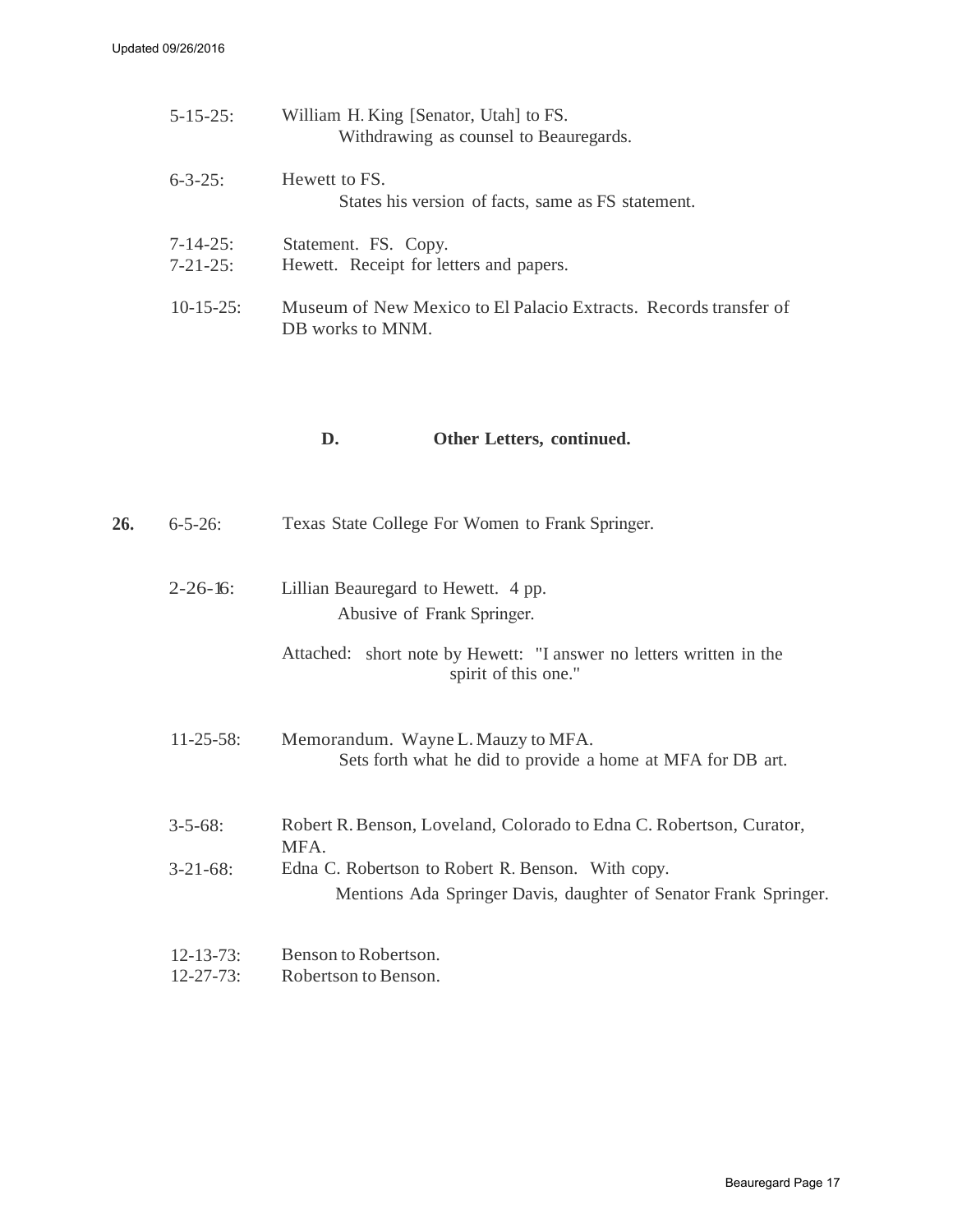| $5 - 15 - 25$ :                    | William H. King [Senator, Utah] to FS.<br>Withdrawing as counsel to Beauregards.     |
|------------------------------------|--------------------------------------------------------------------------------------|
| $6 - 3 - 25$ :                     | Hewett to FS.<br>States his version of facts, same as FS statement.                  |
| $7 - 14 - 25$ :<br>$7 - 21 - 25$ : | Statement. FS. Copy.<br>Hewett. Receipt for letters and papers.                      |
| $10-15-25$ :                       | Museum of New Mexico to El Palacio Extracts. Records transfer of<br>DB works to MNM. |

#### <span id="page-16-0"></span>**D. Other Letters, continued.**

| 26. | $6 - 5 - 26$ :                       | Texas State College For Women to Frank Springer.                                                                      |
|-----|--------------------------------------|-----------------------------------------------------------------------------------------------------------------------|
|     | $2 - 26 - 16$                        | Lillian Beauregard to Hewett. 4 pp.<br>Abusive of Frank Springer.                                                     |
|     |                                      | Attached: short note by Hewett: "I answer no letters written in the<br>spirit of this one."                           |
|     | $11 - 25 - 58$ :                     | Memorandum. Wayne L. Mauzy to MFA.<br>Sets forth what he did to provide a home at MFA for DB art.                     |
|     | $3 - 5 - 68$ :                       | Robert R. Benson, Loveland, Colorado to Edna C. Robertson, Curator,<br>MFA.                                           |
|     | $3 - 21 - 68$ :                      | Edna C. Robertson to Robert R. Benson. With copy.<br>Mentions Ada Springer Davis, daughter of Senator Frank Springer. |
|     | $12 - 13 - 73$ :<br>$12 - 27 - 73$ : | Benson to Robertson.<br>Robertson to Benson.                                                                          |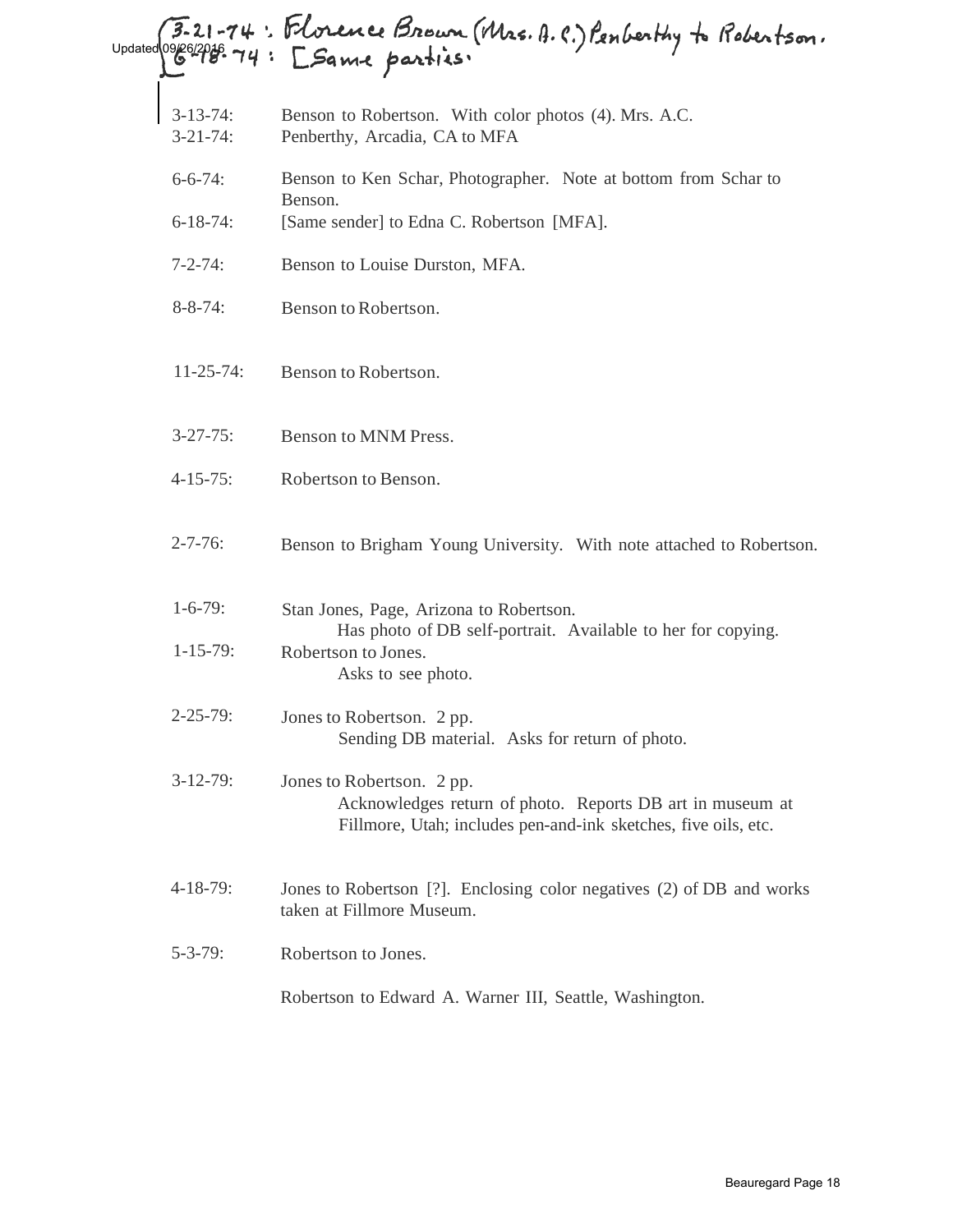## 3-21-74: Florence Brown (Mrs. A.C.) Penberthy to Robertson.<br>Weizer 74: [Same parties:

- 3-13-74: Benson to Robertson. With color photos (4). Mrs. A.C.
- 3-21-74: Penberthy, Arcadia, CA to MFA
- 6-6-74: Benson to Ken Schar, Photographer. Note at bottom from Schar to Benson.
- 6-18-74: [Same sender] to Edna C. Robertson [MFA].
- 7-2-74: Benson to Louise Durston, MFA.
- 8-8-74: Benson to Robertson.
- 11-25-74: Benson to Robertson.
- 3-27-75: Benson to MNM Press.
- 4-15-75: Robertson to Benson.
- 2-7-76: Benson to Brigham Young University. With note attached to Robertson.
- 1-6-79: 1-15-79: Stan Jones, Page, Arizona to Robertson. Has photo of DB self-portrait. Available to her for copying. Robertson to Jones. Asks to see photo.
- $2 25 79$ : Jones to Robertson. 2 pp. Sending DB material. Asks for return of photo.
- 3-12-79: Jones to Robertson. 2 pp. Acknowledges return of photo. Reports DB art in museum at Fillmore, Utah; includes pen-and-ink sketches, five oils, etc.
- 4-18-79: Jones to Robertson [?]. Enclosing color negatives (2) of DB and works taken at Fillmore Museum.
- 5-3-79: Robertson to Jones.

Robertson to Edward A. Warner III, Seattle, Washington.